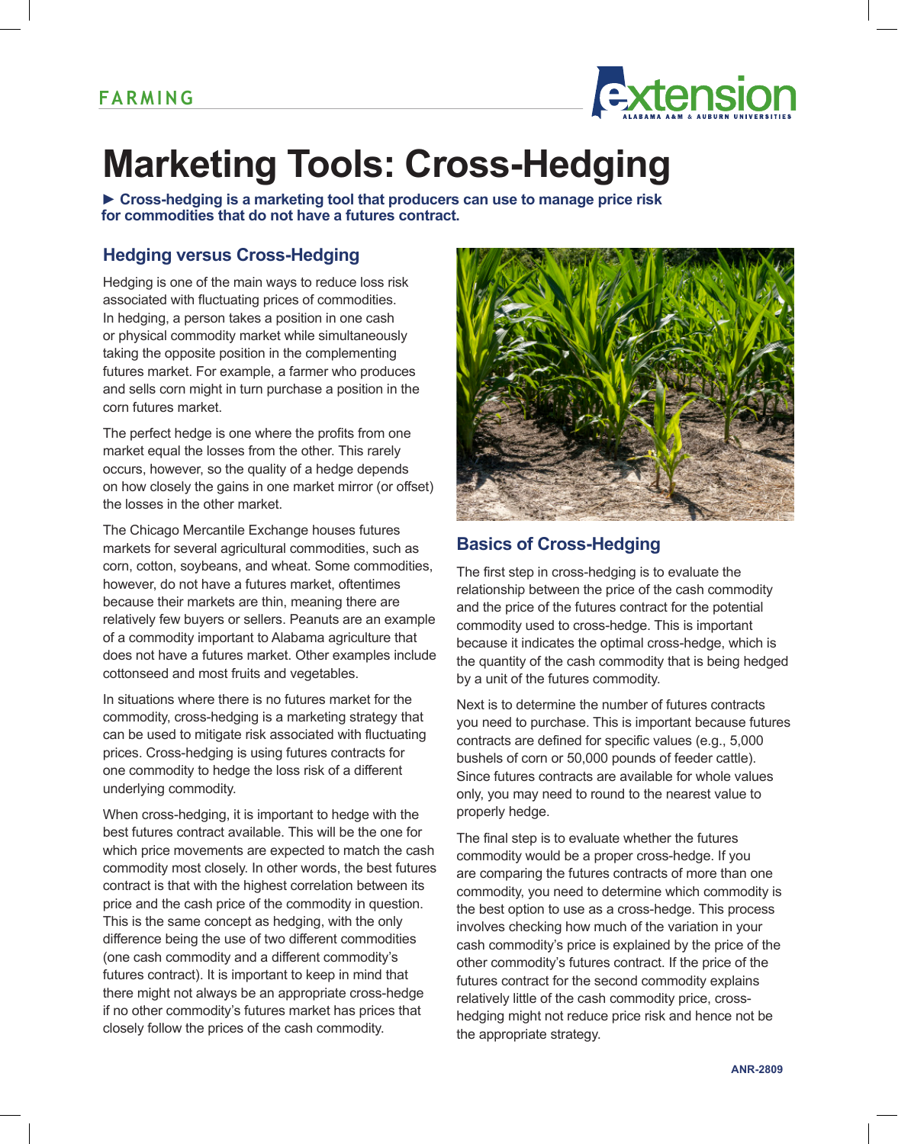

# **Marketing Tools: Cross-Hedging**

**► Cross-hedging is a marketing tool that producers can use to manage price risk for commodities that do not have a futures contract.**

## **Hedging versus Cross-Hedging**

Hedging is one of the main ways to reduce loss risk associated with fluctuating prices of commodities. In hedging, a person takes a position in one cash or physical commodity market while simultaneously taking the opposite position in the complementing futures market. For example, a farmer who produces and sells corn might in turn purchase a position in the corn futures market.

The perfect hedge is one where the profits from one market equal the losses from the other. This rarely occurs, however, so the quality of a hedge depends on how closely the gains in one market mirror (or offset) the losses in the other market.

The Chicago Mercantile Exchange houses futures markets for several agricultural commodities, such as corn, cotton, soybeans, and wheat. Some commodities, however, do not have a futures market, oftentimes because their markets are thin, meaning there are relatively few buyers or sellers. Peanuts are an example of a commodity important to Alabama agriculture that does not have a futures market. Other examples include cottonseed and most fruits and vegetables.

In situations where there is no futures market for the commodity, cross-hedging is a marketing strategy that can be used to mitigate risk associated with fluctuating prices. Cross-hedging is using futures contracts for one commodity to hedge the loss risk of a different underlying commodity.

When cross-hedging, it is important to hedge with the best futures contract available. This will be the one for which price movements are expected to match the cash commodity most closely. In other words, the best futures contract is that with the highest correlation between its price and the cash price of the commodity in question. This is the same concept as hedging, with the only difference being the use of two different commodities (one cash commodity and a different commodity's futures contract). It is important to keep in mind that there might not always be an appropriate cross-hedge if no other commodity's futures market has prices that closely follow the prices of the cash commodity.



## **Basics of Cross-Hedging**

The first step in cross-hedging is to evaluate the relationship between the price of the cash commodity and the price of the futures contract for the potential commodity used to cross-hedge. This is important because it indicates the optimal cross-hedge, which is the quantity of the cash commodity that is being hedged by a unit of the futures commodity.

Next is to determine the number of futures contracts you need to purchase. This is important because futures contracts are defined for specific values (e.g., 5,000 bushels of corn or 50,000 pounds of feeder cattle). Since futures contracts are available for whole values only, you may need to round to the nearest value to properly hedge.

The final step is to evaluate whether the futures commodity would be a proper cross-hedge. If you are comparing the futures contracts of more than one commodity, you need to determine which commodity is the best option to use as a cross-hedge. This process involves checking how much of the variation in your cash commodity's price is explained by the price of the other commodity's futures contract. If the price of the futures contract for the second commodity explains relatively little of the cash commodity price, crosshedging might not reduce price risk and hence not be the appropriate strategy.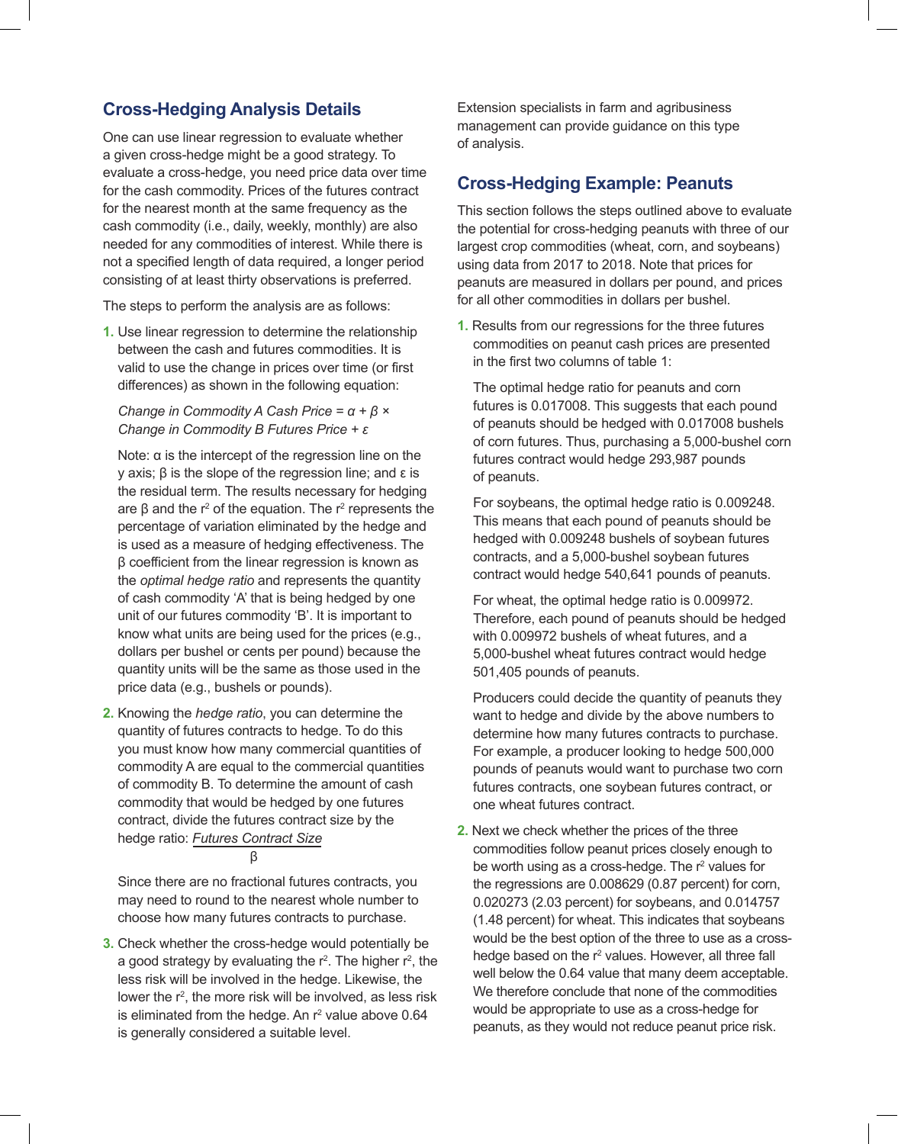## **Cross-Hedging Analysis Details**

One can use linear regression to evaluate whether a given cross-hedge might be a good strategy. To evaluate a cross-hedge, you need price data over time for the cash commodity. Prices of the futures contract for the nearest month at the same frequency as the cash commodity (i.e., daily, weekly, monthly) are also needed for any commodities of interest. While there is not a specified length of data required, a longer period consisting of at least thirty observations is preferred.

The steps to perform the analysis are as follows:

**1.** Use linear regression to determine the relationship between the cash and futures commodities. It is valid to use the change in prices over time (or first differences) as shown in the following equation:

#### *Change in Commodity A Cash Price = α + β × Change in Commodity B Futures Price + ε*

Note:  $α$  is the intercept of the regression line on the y axis; β is the slope of the regression line; and ε is the residual term. The results necessary for hedging are  $β$  and the r<sup>2</sup> of the equation. The r<sup>2</sup> represents the percentage of variation eliminated by the hedge and is used as a measure of hedging effectiveness. The β coefficient from the linear regression is known as the *optimal hedge ratio* and represents the quantity of cash commodity 'A' that is being hedged by one unit of our futures commodity 'B'. It is important to know what units are being used for the prices (e.g., dollars per bushel or cents per pound) because the quantity units will be the same as those used in the price data (e.g., bushels or pounds).

**2.** Knowing the *hedge ratio*, you can determine the quantity of futures contracts to hedge. To do this you must know how many commercial quantities of commodity A are equal to the commercial quantities of commodity B. To determine the amount of cash commodity that would be hedged by one futures contract, divide the futures contract size by the hedge ratio: *Futures Contract Size*

β

Since there are no fractional futures contracts, you may need to round to the nearest whole number to choose how many futures contracts to purchase.

**3.** Check whether the cross-hedge would potentially be a good strategy by evaluating the  $r^2$ . The higher  $r^2$ , the less risk will be involved in the hedge. Likewise, the lower the r<sup>2</sup>, the more risk will be involved, as less risk is eliminated from the hedge. An  $r^2$  value above 0.64 is generally considered a suitable level.

Extension specialists in farm and agribusiness management can provide guidance on this type of analysis.

## **Cross-Hedging Example: Peanuts**

This section follows the steps outlined above to evaluate the potential for cross-hedging peanuts with three of our largest crop commodities (wheat, corn, and soybeans) using data from 2017 to 2018. Note that prices for peanuts are measured in dollars per pound, and prices for all other commodities in dollars per bushel.

**1.** Results from our regressions for the three futures commodities on peanut cash prices are presented in the first two columns of table 1:

The optimal hedge ratio for peanuts and corn futures is 0.017008. This suggests that each pound of peanuts should be hedged with 0.017008 bushels of corn futures. Thus, purchasing a 5,000-bushel corn futures contract would hedge 293,987 pounds of peanuts.

For soybeans, the optimal hedge ratio is 0.009248. This means that each pound of peanuts should be hedged with 0.009248 bushels of soybean futures contracts, and a 5,000-bushel soybean futures contract would hedge 540,641 pounds of peanuts.

For wheat, the optimal hedge ratio is 0.009972. Therefore, each pound of peanuts should be hedged with 0.009972 bushels of wheat futures, and a 5,000-bushel wheat futures contract would hedge 501,405 pounds of peanuts.

Producers could decide the quantity of peanuts they want to hedge and divide by the above numbers to determine how many futures contracts to purchase. For example, a producer looking to hedge 500,000 pounds of peanuts would want to purchase two corn futures contracts, one soybean futures contract, or one wheat futures contract.

**2.** Next we check whether the prices of the three commodities follow peanut prices closely enough to be worth using as a cross-hedge. The r<sup>2</sup> values for the regressions are 0.008629 (0.87 percent) for corn, 0.020273 (2.03 percent) for soybeans, and 0.014757 (1.48 percent) for wheat. This indicates that soybeans would be the best option of the three to use as a crosshedge based on the r<sup>2</sup> values. However, all three fall well below the 0.64 value that many deem acceptable. We therefore conclude that none of the commodities would be appropriate to use as a cross-hedge for peanuts, as they would not reduce peanut price risk.